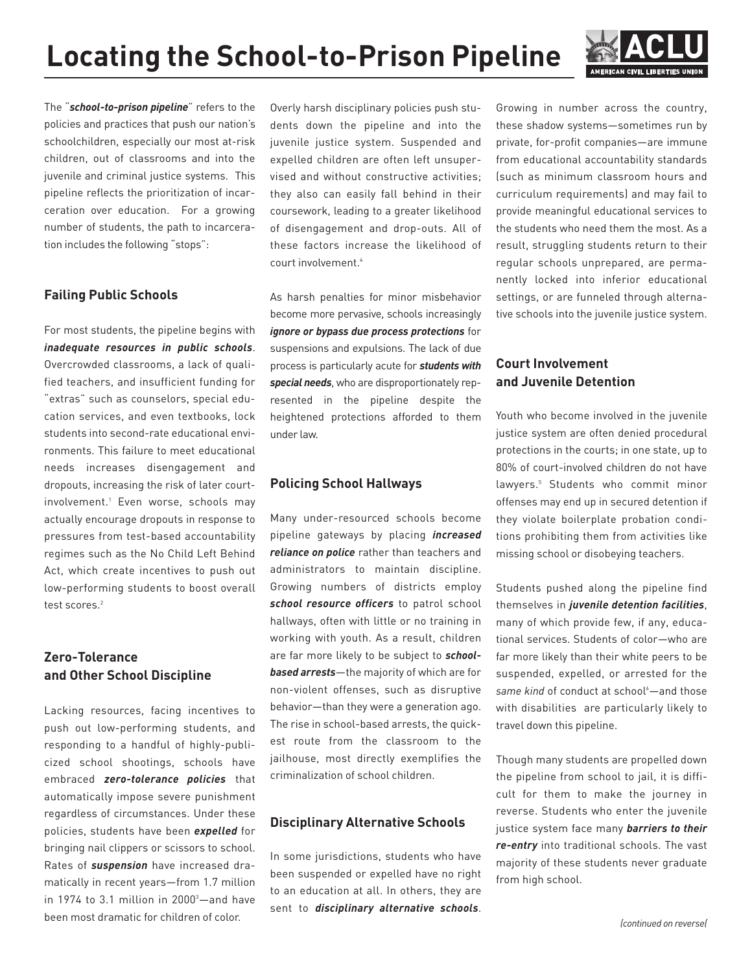

The "*school-to-prison pipeline*" refers to the policies and practices that push our nation's schoolchildren, especially our most at-risk children, out of classrooms and into the juvenile and criminal justice systems. This pipeline reflects the prioritization of incarceration over education. For a growing number of students, the path to incarceration includes the following "stops":

#### **Failing Public Schools**

For most students, the pipeline begins with *inadequate resources in public schools*. Overcrowded classrooms, a lack of qualified teachers, and insufficient funding for "extras" such as counselors, special education services, and even textbooks, lock students into second-rate educational environments. This failure to meet educational needs increases disengagement and dropouts, increasing the risk of later courtinvolvement.<sup>1</sup> Even worse, schools may actually encourage dropouts in response to pressures from test-based accountability regimes such as the No Child Left Behind Act, which create incentives to push out low-performing students to boost overall test scores.<sup>2</sup>

## **Zero-Tolerance and Other School Discipline**

Lacking resources, facing incentives to push out low-performing students, and responding to a handful of highly-publicized school shootings, schools have embraced *zero-tolerance policies* that automatically impose severe punishment regardless of circumstances. Under these policies, students have been *expelled* for bringing nail clippers or scissors to school. Rates of *suspension* have increased dramatically in recent years—from 1.7 million in 1974 to 3.1 million in 2000<sup>3</sup>—and have been most dramatic for children of color.

Overly harsh disciplinary policies push students down the pipeline and into the juvenile justice system. Suspended and expelled children are often left unsupervised and without constructive activities; they also can easily fall behind in their coursework, leading to a greater likelihood of disengagement and drop-outs. All of these factors increase the likelihood of court involvement.4

As harsh penalties for minor misbehavior become more pervasive, schools increasingly *ignore or bypass due process protections* for suspensions and expulsions. The lack of due process is particularly acute for *students with special needs*, who are disproportionately represented in the pipeline despite the heightened protections afforded to them under law.

#### **Policing School Hallways**

Many under-resourced schools become pipeline gateways by placing *increased reliance on police* rather than teachers and administrators to maintain discipline. Growing numbers of districts employ *school resource officers* to patrol school hallways, often with little or no training in working with youth. As a result, children are far more likely to be subject to *schoolbased arrests*—the majority of which are for non-violent offenses, such as disruptive behavior—than they were a generation ago. The rise in school-based arrests, the quickest route from the classroom to the jailhouse, most directly exemplifies the criminalization of school children.

#### **Disciplinary Alternative Schools**

In some jurisdictions, students who have been suspended or expelled have no right to an education at all. In others, they are sent to *disciplinary alternative schools*. Growing in number across the country, these shadow systems—sometimes run by private, for-profit companies—are immune from educational accountability standards (such as minimum classroom hours and curriculum requirements) and may fail to provide meaningful educational services to the students who need them the most. As a result, struggling students return to their regular schools unprepared, are permanently locked into inferior educational settings, or are funneled through alternative schools into the juvenile justice system.

### **Court Involvement and Juvenile Detention**

Youth who become involved in the juvenile justice system are often denied procedural protections in the courts; in one state, up to 80% of court-involved children do not have lawyers.<sup>5</sup> Students who commit minor offenses may end up in secured detention if they violate boilerplate probation conditions prohibiting them from activities like missing school or disobeying teachers.

Students pushed along the pipeline find themselves in *juvenile detention facilities*, many of which provide few, if any, educational services. Students of color—who are far more likely than their white peers to be suspended, expelled, or arrested for the same kind of conduct at school<sup>6</sup>—and those with disabilities are particularly likely to travel down this pipeline.

Though many students are propelled down the pipeline from school to jail, it is difficult for them to make the journey in reverse. Students who enter the juvenile justice system face many *barriers to their re-entry* into traditional schools. The vast majority of these students never graduate from high school.